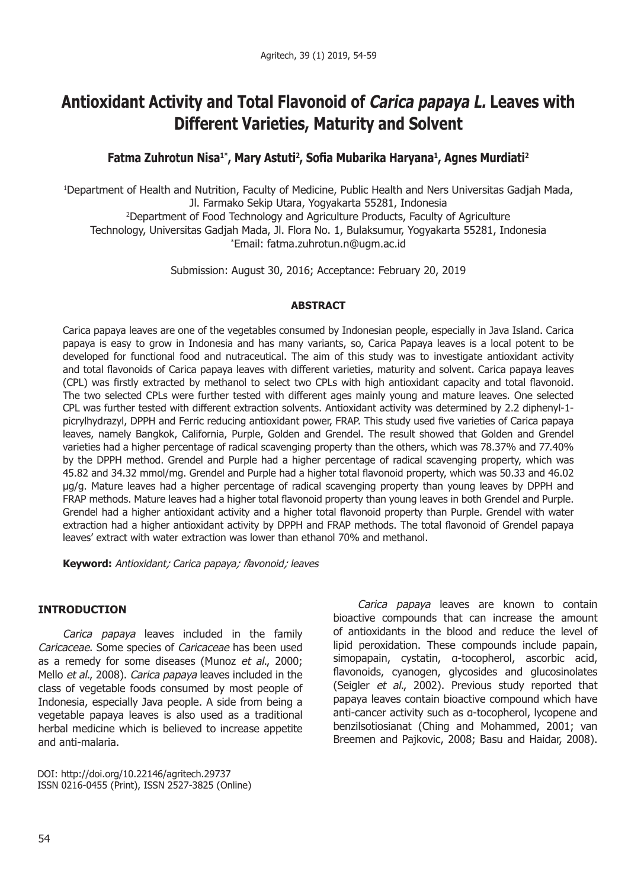# **Antioxidant Activity and Total Flavonoid of** *Carica papaya L.* **Leaves with Different Varieties, Maturity and Solvent**

# **Fatma Zuhrotun Nisa1\*, Mary Astuti2, Sofia Mubarika Haryana1, Agnes Murdiati2**

1 Department of Health and Nutrition, Faculty of Medicine, Public Health and Ners Universitas Gadjah Mada, Jl. Farmako Sekip Utara, Yogyakarta 55281, Indonesia

2 Department of Food Technology and Agriculture Products, Faculty of Agriculture Technology, Universitas Gadjah Mada, Jl. Flora No. 1, Bulaksumur, Yogyakarta 55281, Indonesia

\* Email: fatma.zuhrotun.n@ugm.ac.id

Submission: August 30, 2016; Acceptance: February 20, 2019

#### **ABSTRACT**

Carica papaya leaves are one of the vegetables consumed by Indonesian people, especially in Java Island. Carica papaya is easy to grow in Indonesia and has many variants, so, Carica Papaya leaves is a local potent to be developed for functional food and nutraceutical. The aim of this study was to investigate antioxidant activity and total flavonoids of Carica papaya leaves with different varieties, maturity and solvent. Carica papaya leaves (CPL) was firstly extracted by methanol to select two CPLs with high antioxidant capacity and total flavonoid. The two selected CPLs were further tested with different ages mainly young and mature leaves. One selected CPL was further tested with different extraction solvents. Antioxidant activity was determined by 2.2 diphenyl-1 picrylhydrazyl, DPPH and Ferric reducing antioxidant power, FRAP. This study used five varieties of Carica papaya leaves, namely Bangkok, California, Purple, Golden and Grendel. The result showed that Golden and Grendel varieties had a higher percentage of radical scavenging property than the others, which was 78.37% and 77.40% by the DPPH method. Grendel and Purple had a higher percentage of radical scavenging property, which was 45.82 and 34.32 mmol/mg. Grendel and Purple had a higher total flavonoid property, which was 50.33 and 46.02 µg/g. Mature leaves had a higher percentage of radical scavenging property than young leaves by DPPH and FRAP methods. Mature leaves had a higher total flavonoid property than young leaves in both Grendel and Purple. Grendel had a higher antioxidant activity and a higher total flavonoid property than Purple. Grendel with water extraction had a higher antioxidant activity by DPPH and FRAP methods. The total flavonoid of Grendel papaya leaves' extract with water extraction was lower than ethanol 70% and methanol.

**Keyword:** *Antioxidant; Carica papaya; flavonoid; leaves*

## **INTRODUCTION**

*Carica papaya* leaves included in the family *Caricaceae*. Some species of *Caricaceae* has been used as a remedy for some diseases (Munoz *et al*., 2000; Mello *et al*., 2008). *Carica papaya* leaves included in the class of vegetable foods consumed by most people of Indonesia, especially Java people. A side from being a vegetable papaya leaves is also used as a traditional herbal medicine which is believed to increase appetite and anti-malaria.

DOI: http://doi.org/10.22146/agritech.29737 ISSN 0216-0455 (Print), ISSN 2527-3825 (Online)

*Carica papaya* leaves are known to contain bioactive compounds that can increase the amount of antioxidants in the blood and reduce the level of lipid peroxidation. These compounds include papain, simopapain, cystatin, α-tocopherol, ascorbic acid, flavonoids, cyanogen, glycosides and glucosinolates (Seigler *et al*., 2002). Previous study reported that papaya leaves contain bioactive compound which have anti-cancer activity such as α-tocopherol, lycopene and benzilsotiosianat (Ching and Mohammed, 2001; van Breemen and Pajkovic, 2008; Basu and Haidar, 2008).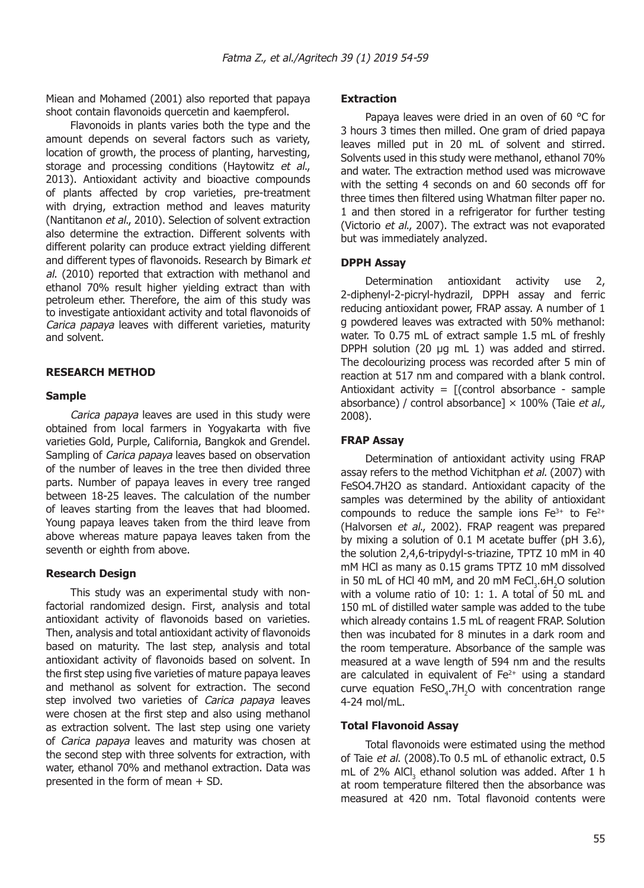Miean and Mohamed (2001) also reported that papaya shoot contain flavonoids quercetin and kaempferol.

Flavonoids in plants varies both the type and the amount depends on several factors such as variety, location of growth, the process of planting, harvesting, storage and processing conditions (Haytowitz *et al*., 2013). Antioxidant activity and bioactive compounds of plants affected by crop varieties, pre-treatment with drying, extraction method and leaves maturity (Nantitanon *et al*., 2010). Selection of solvent extraction also determine the extraction. Different solvents with different polarity can produce extract yielding different and different types of flavonoids. Research by Bimark *et al*. (2010) reported that extraction with methanol and ethanol 70% result higher yielding extract than with petroleum ether. Therefore, the aim of this study was to investigate antioxidant activity and total flavonoids of *Carica papaya* leaves with different varieties, maturity and solvent.

## **RESEARCH METHOD**

#### **Sample**

*Carica papaya* leaves are used in this study were obtained from local farmers in Yogyakarta with five varieties Gold, Purple, California, Bangkok and Grendel. Sampling of *Carica papaya* leaves based on observation of the number of leaves in the tree then divided three parts. Number of papaya leaves in every tree ranged between 18-25 leaves. The calculation of the number of leaves starting from the leaves that had bloomed. Young papaya leaves taken from the third leave from above whereas mature papaya leaves taken from the seventh or eighth from above.

#### **Research Design**

This study was an experimental study with nonfactorial randomized design. First, analysis and total antioxidant activity of flavonoids based on varieties. Then, analysis and total antioxidant activity of flavonoids based on maturity. The last step, analysis and total antioxidant activity of flavonoids based on solvent. In the first step using five varieties of mature papaya leaves and methanol as solvent for extraction. The second step involved two varieties of *Carica papaya* leaves were chosen at the first step and also using methanol as extraction solvent. The last step using one variety of *Carica papaya* leaves and maturity was chosen at the second step with three solvents for extraction, with water, ethanol 70% and methanol extraction. Data was presented in the form of mean + SD.

#### **Extraction**

Papaya leaves were dried in an oven of 60 °C for 3 hours 3 times then milled. One gram of dried papaya leaves milled put in 20 mL of solvent and stirred. Solvents used in this study were methanol, ethanol 70% and water. The extraction method used was microwave with the setting 4 seconds on and 60 seconds off for three times then filtered using Whatman filter paper no. 1 and then stored in a refrigerator for further testing (Victorio *et al*., 2007). The extract was not evaporated but was immediately analyzed.

#### **DPPH Assay**

Determination antioxidant activity use 2, 2-diphenyl-2-picryl-hydrazil, DPPH assay and ferric reducing antioxidant power, FRAP assay. A number of 1 g powdered leaves was extracted with 50% methanol: water. To 0.75 mL of extract sample 1.5 mL of freshly DPPH solution (20 μg mL 1) was added and stirred. The decolourizing process was recorded after 5 min of reaction at 517 nm and compared with a blank control. Antioxidant activity =  $[(control absence - sample$ absorbance) / control absorbance] × 100% (Taie *et al.,*  2008).

#### **FRAP Assay**

Determination of antioxidant activity using FRAP assay refers to the method Vichitphan *et al*. (2007) with FeSO4.7H2O as standard. Antioxidant capacity of the samples was determined by the ability of antioxidant compounds to reduce the sample ions  $Fe^{3+}$  to  $Fe^{2+}$ (Halvorsen *et al*., 2002). FRAP reagent was prepared by mixing a solution of 0.1 M acetate buffer (pH 3.6), the solution 2,4,6-tripydyl-s-triazine, TPTZ 10 mM in 40 mM HCl as many as 0.15 grams TPTZ 10 mM dissolved in 50 mL of HCl 40 mM, and 20 mM  $\text{FeCl}_3\text{.}6\text{H}_2\text{O}$  solution with a volume ratio of 10: 1: 1. A total of 50 mL and 150 mL of distilled water sample was added to the tube which already contains 1.5 mL of reagent FRAP. Solution then was incubated for 8 minutes in a dark room and the room temperature. Absorbance of the sample was measured at a wave length of 594 nm and the results are calculated in equivalent of  $Fe<sup>2+</sup>$  using a standard curve equation  $FeSO_4$ .7H<sub>2</sub>O with concentration range 4-24 mol/mL.

#### **Total Flavonoid Assay**

Total flavonoids were estimated using the method of Taie *et al*. (2008).To 0.5 mL of ethanolic extract, 0.5 mL of 2% AICI<sub>3</sub> ethanol solution was added. After 1 h at room temperature filtered then the absorbance was measured at 420 nm. Total flavonoid contents were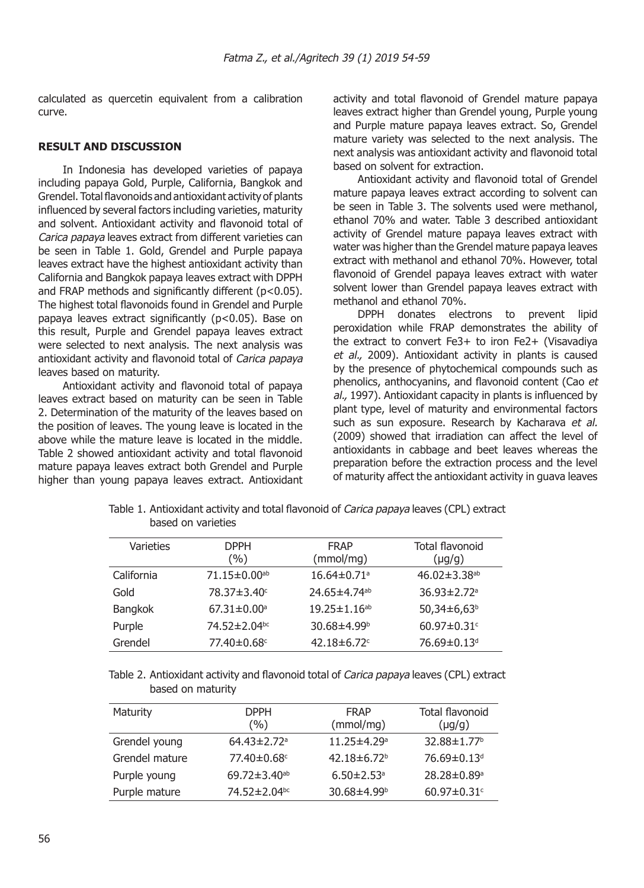calculated as quercetin equivalent from a calibration curve.

#### **RESULT AND DISCUSSION**

In Indonesia has developed varieties of papaya including papaya Gold, Purple, California, Bangkok and Grendel. Total flavonoids and antioxidant activity of plants influenced by several factors including varieties, maturity and solvent. Antioxidant activity and flavonoid total of *Carica papaya* leaves extract from different varieties can be seen in Table 1. Gold, Grendel and Purple papaya leaves extract have the highest antioxidant activity than California and Bangkok papaya leaves extract with DPPH and FRAP methods and significantly different (p<0.05). The highest total flavonoids found in Grendel and Purple papaya leaves extract significantly (p<0.05). Base on this result, Purple and Grendel papaya leaves extract were selected to next analysis. The next analysis was antioxidant activity and flavonoid total of *Carica papaya* leaves based on maturity.

Antioxidant activity and flavonoid total of papaya leaves extract based on maturity can be seen in Table 2. Determination of the maturity of the leaves based on the position of leaves. The young leave is located in the above while the mature leave is located in the middle. Table 2 showed antioxidant activity and total flavonoid mature papaya leaves extract both Grendel and Purple higher than young papaya leaves extract. Antioxidant activity and total flavonoid of Grendel mature papaya leaves extract higher than Grendel young, Purple young and Purple mature papaya leaves extract. So, Grendel mature variety was selected to the next analysis. The next analysis was antioxidant activity and flavonoid total based on solvent for extraction.

Antioxidant activity and flavonoid total of Grendel mature papaya leaves extract according to solvent can be seen in Table 3. The solvents used were methanol, ethanol 70% and water. Table 3 described antioxidant activity of Grendel mature papaya leaves extract with water was higher than the Grendel mature papaya leaves extract with methanol and ethanol 70%. However, total flavonoid of Grendel papaya leaves extract with water solvent lower than Grendel papaya leaves extract with methanol and ethanol 70%.

DPPH donates electrons to prevent lipid peroxidation while FRAP demonstrates the ability of the extract to convert Fe3+ to iron Fe2+ (Visavadiya *et al.,* 2009). Antioxidant activity in plants is caused by the presence of phytochemical compounds such as phenolics, anthocyanins, and flavonoid content (Cao *et al.,* 1997). Antioxidant capacity in plants is influenced by plant type, level of maturity and environmental factors such as sun exposure. Research by Kacharava *et al.*  (2009) showed that irradiation can affect the level of antioxidants in cabbage and beet leaves whereas the preparation before the extraction process and the level of maturity affect the antioxidant activity in guava leaves

| Varieties      | <b>DPPH</b><br>(%)             | <b>FRAP</b><br>(mmol/mg)       | Total flavonoid<br>$(\mu g/g)$ |
|----------------|--------------------------------|--------------------------------|--------------------------------|
| California     | $71.15 \pm 0.00$ <sup>ab</sup> | $16.64 \pm 0.71$ <sup>a</sup>  | $46.02 \pm 3.38$ <sup>ab</sup> |
| Gold           | 78.37±3.40°                    | 24.65±4.74 <sup>ab</sup>       | $36.93 \pm 2.72$ <sup>a</sup>  |
| <b>Bangkok</b> | $67.31 \pm 0.00$ <sup>a</sup>  | $19.25 \pm 1.16$ <sup>ab</sup> | $50,34\pm6,63b$                |
| Purple         | $74.52 \pm 2.04$ <sup>bc</sup> | $30.68 \pm 4.99$ <sup>b</sup>  | $60.97 \pm 0.31$ <sup>c</sup>  |
| Grendel        | 77.40±0.68c                    | 42.18 $\pm$ 6.72 $\degree$     | 76.69±0.13 <sup>d</sup>        |

Table 1. Antioxidant activity and total flavonoid of *Carica papaya* leaves (CPL) extract based on varieties

Table 2. Antioxidant activity and flavonoid total of *Carica papaya* leaves (CPL) extract based on maturity

| Maturity       | <b>DPPH</b><br>(%)            | <b>FRAP</b><br>(mmol/mg)      | Total flavonoid<br>$(\mu g/g)$ |
|----------------|-------------------------------|-------------------------------|--------------------------------|
| Grendel young  | $64.43 \pm 2.72$ <sup>a</sup> | $11.25 \pm 4.29$ <sup>a</sup> | $32.88 \pm 1.77$ <sup>b</sup>  |
| Grendel mature | 77.40±0.68°                   | $42.18 \pm 6.72$ <sup>b</sup> | 76.69±0.13 <sup>d</sup>        |
| Purple young   | 69.72±3.40 <sup>ab</sup>      | $6.50 \pm 2.53$ <sup>a</sup>  | $28.28 \pm 0.89$ <sup>a</sup>  |
| Purple mature  | 74.52±2.04bc                  | 30.68 $\pm$ 4.99 <sup>b</sup> | $60.97 \pm 0.31$ <sup>c</sup>  |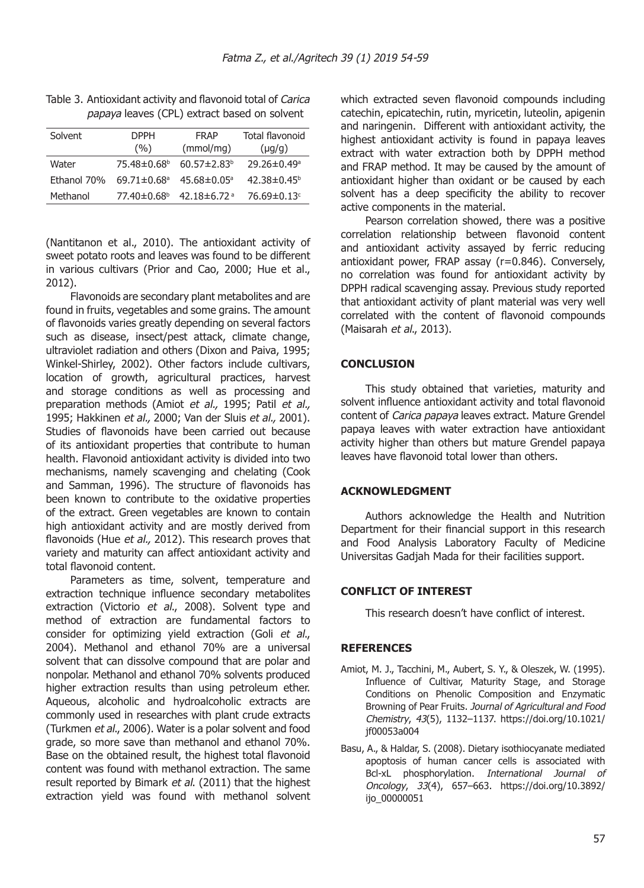| Solvent     | <b>DPPH</b>                   | FRAP                          | Total flavonoid               |
|-------------|-------------------------------|-------------------------------|-------------------------------|
|             | (%)                           | (mmol/mq)                     | $(\mu q/q)$                   |
| Water       | 75.48±0.68 <sup>b</sup>       | $60.57 \pm 2.83^b$            | $29.26 \pm 0.49$ <sup>a</sup> |
| Fthanol 70% | $69.71 \pm 0.68$ <sup>a</sup> | $45.68 \pm 0.05$ <sup>a</sup> | $42.38 \pm 0.45^{\circ}$      |
| Methanol    | 77.40±0.68 <sup>b</sup>       | 42.18±6.72ª                   | 76.69 $\pm$ 0.13 $\circ$      |

Table 3. Antioxidant activity and flavonoid total of *Carica papaya* leaves (CPL) extract based on solvent

(Nantitanon et al., 2010). The antioxidant activity of sweet potato roots and leaves was found to be different in various cultivars (Prior and Cao, 2000; Hue et al., 2012).

Flavonoids are secondary plant metabolites and are found in fruits, vegetables and some grains. The amount of flavonoids varies greatly depending on several factors such as disease, insect/pest attack, climate change, ultraviolet radiation and others (Dixon and Paiva, 1995; Winkel-Shirley, 2002). Other factors include cultivars, location of growth, agricultural practices, harvest and storage conditions as well as processing and preparation methods (Amiot *et al.,* 1995; Patil *et al.,*  1995; Hakkinen *et al.,* 2000; Van der Sluis *et al.,* 2001). Studies of flavonoids have been carried out because of its antioxidant properties that contribute to human health. Flavonoid antioxidant activity is divided into two mechanisms, namely scavenging and chelating (Cook and Samman, 1996). The structure of flavonoids has been known to contribute to the oxidative properties of the extract. Green vegetables are known to contain high antioxidant activity and are mostly derived from flavonoids (Hue *et al.,* 2012). This research proves that variety and maturity can affect antioxidant activity and total flavonoid content.

Parameters as time, solvent, temperature and extraction technique influence secondary metabolites extraction (Victorio *et al*., 2008). Solvent type and method of extraction are fundamental factors to consider for optimizing yield extraction (Goli *et al*., 2004). Methanol and ethanol 70% are a universal solvent that can dissolve compound that are polar and nonpolar. Methanol and ethanol 70% solvents produced higher extraction results than using petroleum ether. Aqueous, alcoholic and hydroalcoholic extracts are commonly used in researches with plant crude extracts (Turkmen *et al*., 2006). Water is a polar solvent and food grade, so more save than methanol and ethanol 70%. Base on the obtained result, the highest total flavonoid content was found with methanol extraction. The same result reported by Bimark *et al*. (2011) that the highest extraction yield was found with methanol solvent which extracted seven flavonoid compounds including catechin, epicatechin, rutin, myricetin, luteolin, apigenin and naringenin. Different with antioxidant activity, the highest antioxidant activity is found in papaya leaves extract with water extraction both by DPPH method and FRAP method. It may be caused by the amount of antioxidant higher than oxidant or be caused by each solvent has a deep specificity the ability to recover active components in the material.

Pearson correlation showed, there was a positive correlation relationship between flavonoid content and antioxidant activity assayed by ferric reducing antioxidant power, FRAP assay (r=0.846). Conversely, no correlation was found for antioxidant activity by DPPH radical scavenging assay. Previous study reported that antioxidant activity of plant material was very well correlated with the content of flavonoid compounds (Maisarah *et al*., 2013).

# **CONCLUSION**

This study obtained that varieties, maturity and solvent influence antioxidant activity and total flavonoid content of *Carica papaya* leaves extract. Mature Grendel papaya leaves with water extraction have antioxidant activity higher than others but mature Grendel papaya leaves have flavonoid total lower than others.

# **ACKNOWLEDGMENT**

Authors acknowledge the Health and Nutrition Department for their financial support in this research and Food Analysis Laboratory Faculty of Medicine Universitas Gadjah Mada for their facilities support.

# **CONFLICT OF INTEREST**

This research doesn't have conflict of interest.

# **REFERENCES**

- Amiot, M. J., Tacchini, M., Aubert, S. Y., & Oleszek, W. (1995). Influence of Cultivar, Maturity Stage, and Storage Conditions on Phenolic Composition and Enzymatic Browning of Pear Fruits. *Journal of Agricultural and Food Chemistry*, *43*(5), 1132–1137. https://doi.org/10.1021/ jf00053a004
- Basu, A., & Haldar, S. (2008). Dietary isothiocyanate mediated apoptosis of human cancer cells is associated with Bcl-xL phosphorylation. *International Journal of Oncology*, *33*(4), 657–663. https://doi.org/10.3892/ ijo\_00000051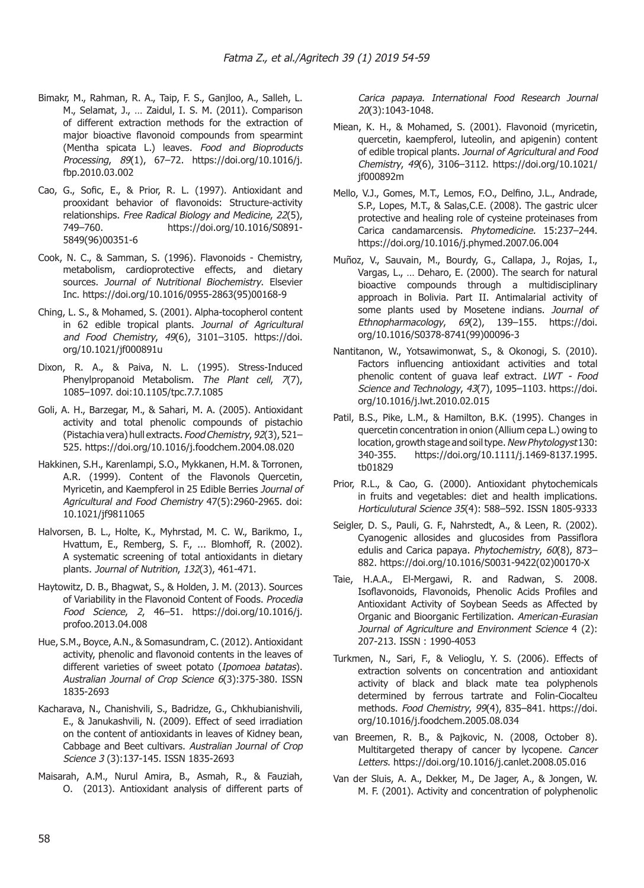- Bimakr, M., Rahman, R. A., Taip, F. S., Ganjloo, A., Salleh, L. M., Selamat, J., … Zaidul, I. S. M. (2011). Comparison of different extraction methods for the extraction of major bioactive flavonoid compounds from spearmint (Mentha spicata L.) leaves. *Food and Bioproducts Processing*, *89*(1), 67–72. https://doi.org/10.1016/j. fbp.2010.03.002
- Cao, G., Sofic, E., & Prior, R. L. (1997). Antioxidant and prooxidant behavior of flavonoids: Structure-activity relationships. *Free Radical Biology and Medicine*, *22*(5), 749–760. https://doi.org/10.1016/S0891- 5849(96)00351-6
- Cook, N. C., & Samman, S. (1996). Flavonoids Chemistry, metabolism, cardioprotective effects, and dietary sources. *Journal of Nutritional Biochemistry*. Elsevier Inc. https://doi.org/10.1016/0955-2863(95)00168-9
- Ching, L. S., & Mohamed, S. (2001). Alpha-tocopherol content in 62 edible tropical plants. *Journal of Agricultural and Food Chemistry*, *49*(6), 3101–3105. https://doi. org/10.1021/jf000891u
- Dixon, R. A., & Paiva, N. L. (1995). Stress-Induced Phenylpropanoid Metabolism. *The Plant cell*, *7*(7), 1085–1097. doi:10.1105/tpc.7.7.1085
- Goli, A. H., Barzegar, M., & Sahari, M. A. (2005). Antioxidant activity and total phenolic compounds of pistachio (Pistachia vera) hull extracts. *Food Chemistry*, *92*(3), 521– 525. https://doi.org/10.1016/j.foodchem.2004.08.020
- Hakkinen, S.H., Karenlampi, S.O., Mykkanen, H.M. & Torronen, A.R. (1999). Content of the Flavonols Quercetin, Myricetin, and Kaempferol in 25 Edible Berries *Journal of Agricultural and Food Chemistry* 47(5):2960-2965. doi: 10.1021/jf9811065
- Halvorsen, B. L., Holte, K., Myhrstad, M. C. W., Barikmo, I., Hvattum, E., Remberg, S. F., ... Blomhoff, R. (2002). A systematic screening of total antioxidants in dietary plants. *Journal of Nutrition*, *132*(3), 461-471.
- Haytowitz, D. B., Bhagwat, S., & Holden, J. M. (2013). Sources of Variability in the Flavonoid Content of Foods. *Procedia Food Science*, *2*, 46–51. https://doi.org/10.1016/j. profoo.2013.04.008
- Hue, S.M., Boyce, A.N., & Somasundram, C. (2012). Antioxidant activity, phenolic and flavonoid contents in the leaves of different varieties of sweet potato (*Ipomoea batatas*). *Australian Journal of Crop Science 6*(3):375-380. ISSN 1835-2693
- Kacharava, N., Chanishvili, S., Badridze, G., Chkhubianishvili, E., & Janukashvili, N. (2009). Effect of seed irradiation on the content of antioxidants in leaves of Kidney bean, Cabbage and Beet cultivars. *Australian Journal of Crop Science 3* (3):137-145. ISSN 1835-2693
- Maisarah, A.M., Nurul Amira, B., Asmah, R., & Fauziah, O. (2013). Antioxidant analysis of different parts of

*Carica papaya*. *International Food Research Journal 20*(3):1043-1048.

- Miean, K. H., & Mohamed, S. (2001). Flavonoid (myricetin, quercetin, kaempferol, luteolin, and apigenin) content of edible tropical plants. *Journal of Agricultural and Food Chemistry*, *49*(6), 3106–3112. https://doi.org/10.1021/ jf000892m
- Mello, V.J., Gomes, M.T., Lemos, F.O., Delfino, J.L., Andrade, S.P., Lopes, M.T., & Salas,C.E. (2008). The gastric ulcer protective and healing role of cysteine proteinases from Carica candamarcensis. *Phytomedicine.* 15:237–244. https://doi.org/10.1016/j.phymed.2007.06.004
- Muñoz, V., Sauvain, M., Bourdy, G., Callapa, J., Rojas, I., Vargas, L., … Deharo, E. (2000). The search for natural bioactive compounds through a multidisciplinary approach in Bolivia. Part II. Antimalarial activity of some plants used by Mosetene indians. *Journal of Ethnopharmacology*, *69*(2), 139–155. https://doi. org/10.1016/S0378-8741(99)00096-3
- Nantitanon, W., Yotsawimonwat, S., & Okonogi, S. (2010). Factors influencing antioxidant activities and total phenolic content of guava leaf extract. *LWT - Food Science and Technology*, *43*(7), 1095–1103. https://doi. org/10.1016/j.lwt.2010.02.015
- Patil, B.S., Pike, L.M., & Hamilton, B.K. (1995). Changes in quercetin concentration in onion (Allium cepa L.) owing to location, growth stage and soil type. *New Phytologyst* 130: 340-355. https://doi.org/10.1111/j.1469-8137.1995. tb01829
- Prior, R.L., & Cao, G. (2000). Antioxidant phytochemicals in fruits and vegetables: diet and health implications. *Horticulutural Science 35*(4): 588–592. ISSN 1805-9333
- Seigler, D. S., Pauli, G. F., Nahrstedt, A., & Leen, R. (2002). Cyanogenic allosides and glucosides from Passiflora edulis and Carica papaya. *Phytochemistry*, *60*(8), 873– 882. https://doi.org/10.1016/S0031-9422(02)00170-X
- Taie, H.A.A., El-Mergawi, R. and Radwan, S. 2008. Isoflavonoids, Flavonoids, Phenolic Acids Profiles and Antioxidant Activity of Soybean Seeds as Affected by Organic and Bioorganic Fertilization. *American-Eurasian Journal of Agriculture and Environment Science* 4 (2): 207-213. ISSN : 1990-4053
- Turkmen, N., Sari, F., & Velioglu, Y. S. (2006). Effects of extraction solvents on concentration and antioxidant activity of black and black mate tea polyphenols determined by ferrous tartrate and Folin-Ciocalteu methods. *Food Chemistry*, *99*(4), 835–841. https://doi. org/10.1016/j.foodchem.2005.08.034
- van Breemen, R. B., & Pajkovic, N. (2008, October 8). Multitargeted therapy of cancer by lycopene. *Cancer Letters*. https://doi.org/10.1016/j.canlet.2008.05.016
- Van der Sluis, A. A., Dekker, M., De Jager, A., & Jongen, W. M. F. (2001). Activity and concentration of polyphenolic